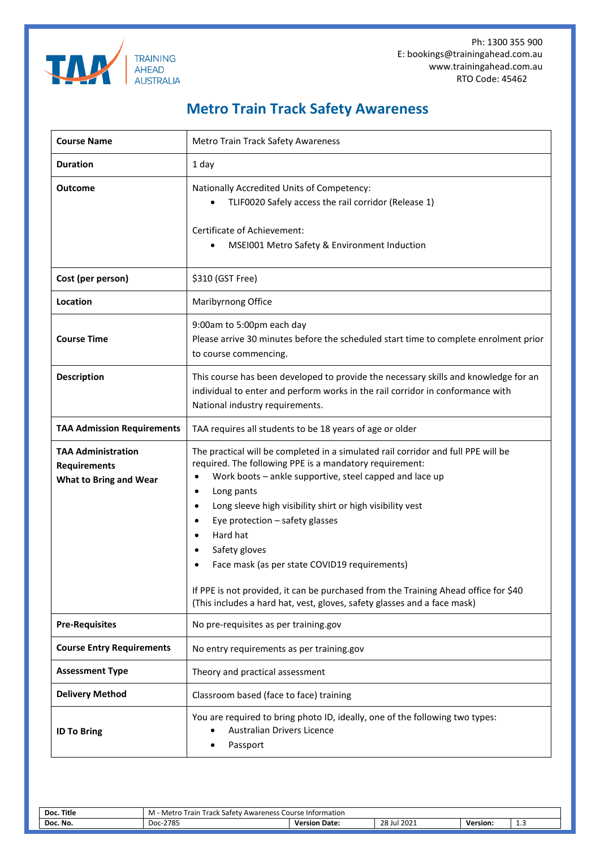

## **Metro Train Track Safety Awareness**

**TRAINING AHEAD AUSTRALIA** 

| <b>Course Name</b>                                                                | <b>Metro Train Track Safety Awareness</b>                                                                                                                                                                                                                                                                                                                                                                                                                                                                                                                                                                          |  |
|-----------------------------------------------------------------------------------|--------------------------------------------------------------------------------------------------------------------------------------------------------------------------------------------------------------------------------------------------------------------------------------------------------------------------------------------------------------------------------------------------------------------------------------------------------------------------------------------------------------------------------------------------------------------------------------------------------------------|--|
| <b>Duration</b>                                                                   | 1 day                                                                                                                                                                                                                                                                                                                                                                                                                                                                                                                                                                                                              |  |
| Outcome                                                                           | Nationally Accredited Units of Competency:<br>TLIF0020 Safely access the rail corridor (Release 1)<br>Certificate of Achievement:<br>MSEI001 Metro Safety & Environment Induction<br>$\bullet$                                                                                                                                                                                                                                                                                                                                                                                                                     |  |
| Cost (per person)                                                                 | \$310 (GST Free)                                                                                                                                                                                                                                                                                                                                                                                                                                                                                                                                                                                                   |  |
| Location                                                                          | Maribyrnong Office                                                                                                                                                                                                                                                                                                                                                                                                                                                                                                                                                                                                 |  |
| <b>Course Time</b>                                                                | 9:00am to 5:00pm each day<br>Please arrive 30 minutes before the scheduled start time to complete enrolment prior<br>to course commencing.                                                                                                                                                                                                                                                                                                                                                                                                                                                                         |  |
| <b>Description</b>                                                                | This course has been developed to provide the necessary skills and knowledge for an<br>individual to enter and perform works in the rail corridor in conformance with<br>National industry requirements.                                                                                                                                                                                                                                                                                                                                                                                                           |  |
| <b>TAA Admission Requirements</b>                                                 | TAA requires all students to be 18 years of age or older                                                                                                                                                                                                                                                                                                                                                                                                                                                                                                                                                           |  |
| <b>TAA Administration</b><br><b>Requirements</b><br><b>What to Bring and Wear</b> | The practical will be completed in a simulated rail corridor and full PPE will be<br>required. The following PPE is a mandatory requirement:<br>Work boots - ankle supportive, steel capped and lace up<br>Long pants<br>$\bullet$<br>Long sleeve high visibility shirt or high visibility vest<br>$\bullet$<br>Eye protection - safety glasses<br>٠<br>Hard hat<br>$\bullet$<br>Safety gloves<br>Face mask (as per state COVID19 requirements)<br>If PPE is not provided, it can be purchased from the Training Ahead office for \$40<br>(This includes a hard hat, vest, gloves, safety glasses and a face mask) |  |
| <b>Pre-Requisites</b>                                                             | No pre-requisites as per training.gov                                                                                                                                                                                                                                                                                                                                                                                                                                                                                                                                                                              |  |
| <b>Course Entry Requirements</b>                                                  | No entry requirements as per training.gov                                                                                                                                                                                                                                                                                                                                                                                                                                                                                                                                                                          |  |
| <b>Assessment Type</b>                                                            | Theory and practical assessment                                                                                                                                                                                                                                                                                                                                                                                                                                                                                                                                                                                    |  |
| <b>Delivery Method</b>                                                            | Classroom based (face to face) training                                                                                                                                                                                                                                                                                                                                                                                                                                                                                                                                                                            |  |
| <b>ID To Bring</b>                                                                | You are required to bring photo ID, ideally, one of the following two types:<br><b>Australian Drivers Licence</b><br>Passport                                                                                                                                                                                                                                                                                                                                                                                                                                                                                      |  |

| Title<br>Doc.<br>__ | rack<br>. - Metra<br>Information<br>rain<br>satety<br>Awareness<br>, ourse<br>$\cdot$ |              |                   |          |          |
|---------------------|---------------------------------------------------------------------------------------|--------------|-------------------|----------|----------|
| Doc. No.            | $-278r$<br>Doc-.<br>--                                                                | Date:<br>Vor | ີດ<br>28 Jul 2021 | Version. | <u>.</u> |
|                     |                                                                                       |              |                   |          |          |